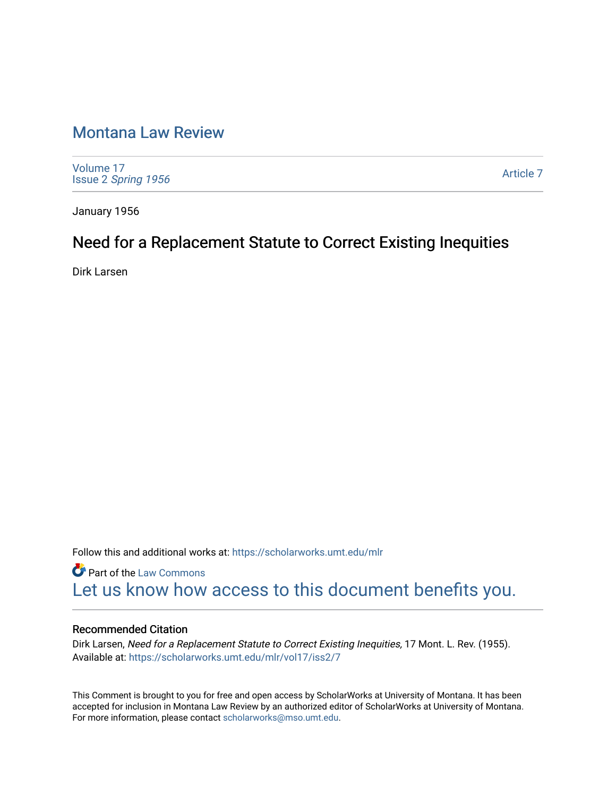# [Montana Law Review](https://scholarworks.umt.edu/mlr)

[Volume 17](https://scholarworks.umt.edu/mlr/vol17) Issue 2 [Spring 1956](https://scholarworks.umt.edu/mlr/vol17/iss2) 

[Article 7](https://scholarworks.umt.edu/mlr/vol17/iss2/7) 

January 1956

# Need for a Replacement Statute to Correct Existing Inequities

Dirk Larsen

Follow this and additional works at: [https://scholarworks.umt.edu/mlr](https://scholarworks.umt.edu/mlr?utm_source=scholarworks.umt.edu%2Fmlr%2Fvol17%2Fiss2%2F7&utm_medium=PDF&utm_campaign=PDFCoverPages) 

**Part of the [Law Commons](http://network.bepress.com/hgg/discipline/578?utm_source=scholarworks.umt.edu%2Fmlr%2Fvol17%2Fiss2%2F7&utm_medium=PDF&utm_campaign=PDFCoverPages)** [Let us know how access to this document benefits you.](https://goo.gl/forms/s2rGfXOLzz71qgsB2) 

## Recommended Citation

Dirk Larsen, Need for a Replacement Statute to Correct Existing Inequities, 17 Mont. L. Rev. (1955). Available at: [https://scholarworks.umt.edu/mlr/vol17/iss2/7](https://scholarworks.umt.edu/mlr/vol17/iss2/7?utm_source=scholarworks.umt.edu%2Fmlr%2Fvol17%2Fiss2%2F7&utm_medium=PDF&utm_campaign=PDFCoverPages) 

This Comment is brought to you for free and open access by ScholarWorks at University of Montana. It has been accepted for inclusion in Montana Law Review by an authorized editor of ScholarWorks at University of Montana. For more information, please contact [scholarworks@mso.umt.edu.](mailto:scholarworks@mso.umt.edu)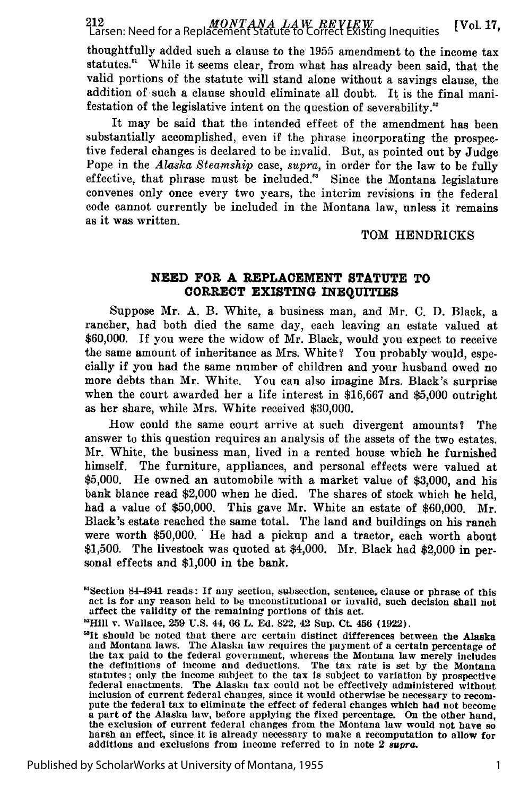*MONTANA LAW REVIEW* Larsen: Need for a Replacement Statute to Correct Existing Inequities [Vol. **17,**

thoughtfully added such a clause to the 1955 amendment to the income tax statutes." While it seems clear, from what has already been said, that the valid portions of the statute will stand alone without a savings clause, the addition of such a clause should eliminate all doubt. It is the final manifestation of the legislative intent on the question of severability.'

It may be said that the intended effect of the amendment has been substantially accomplished, even if the phrase incorporating the prospective federal changes is declared to be invalid. But, as pointed out by Judge Pope in the *Alaska Steamship* case, *supra,* in order for the law to be fully effective, that phrase must be included.' Since the Montana legislature convenes only once every two years, the interim revisions in the federal code cannot currently be included in the Montana law, unless it remains as it was written.

#### TOM HENDRICKS

### **NEED FOR A REPLACEMENT STATUTE TO CORRECT EXISTING INEQUITIES**

Suppose Mr. **A.** B. White, a business man, and Mr. **C. D.** Black, a rancher, had both died the same day, each leaving an estate valued at \$60,000. If you were the widow of Mr. Black, would you expect to receive the same amount of inheritance as Mrs. White? You probably would, especially if you had the same number of children and your husband owed no more debts than Mr. White. You can also imagine Mrs. Black's surprise when the court awarded her a life interest in \$16,667 and \$5,000 outright as her share, while Mrs. White received \$30,000.

How could the same court arrive at such divergent amounts? The answer to this question requires an analysis of the assets of the two estates. Mr. White, the business man, lived in a rented house which he furnished himself. The furniture, appliances, and personal effects were valued at \$5,000. He owned an automobile with a market value of \$3,000, and his bank blance read \$2,000 when he died. The shares of stock which he held, had a value of \$50,000. This gave Mr. White an estate of \$60,000. Mr. Black's estate reached the same total. The land and buildings on his ranch were worth \$50,000. He had a pickup and a tractor, each worth about \$1,500. The livestock was quoted at \$4,000. Mr. Black had \$2,000 in personal effects and \$1,000 in the bank.

<sup>&</sup>lt;sup>51</sup>Section 84-4941 reads: If any section, subsection, sentence, clause or phrase of this act is for any reason held to be unconstitutional or invalid, such decision shall not affect the validity of the remaining portions of this act.

<sup>&#</sup>x27;Hill v. Wallace, 259 U.S. 44, 66 L. Ed. 822, 42 Sup. Ct. 456 (1922).

<sup>&</sup>lt;sup>53</sup>It should be noted that there are certain distinct differences between the Alaska and Montana laws. The Alaska law requires the payment of a certain percentage of the tax paid to the federal government, whereas the Montana law merely includes the definitions of income and deductions. The tax rate is set by the Montana statutes; only the income subject to the tax is subject to variation by prospective federal enactments. The Alaska tax could not be effectively administered without inclusion of current federal changes, since it would othe pute the federal tax to eliminate the effect of federal changes which had not become<br>a part of the Alaska law, before applying the fixed percentage. On the other hand,<br>the exclusion of current federal changes from the Mont additions and exclusions from income referred to in note 2 *supra,*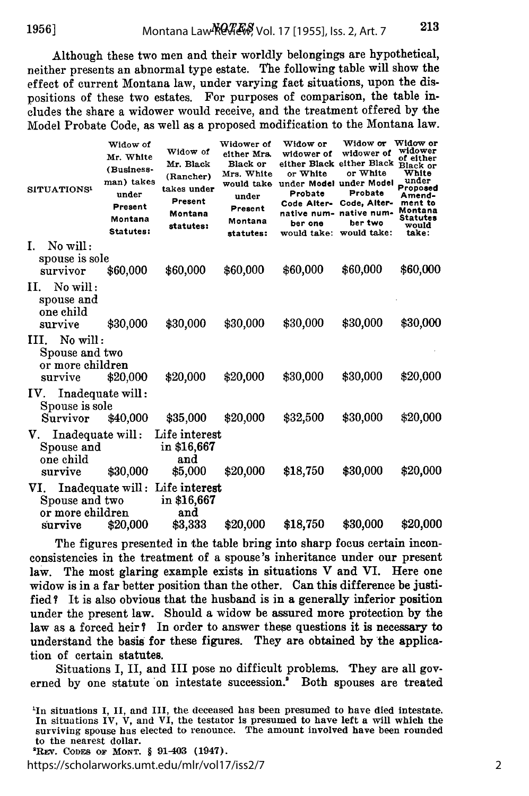Although these two men and their worldly belongings are hypothetical, neither presents an abnormal type estate. The following table will show the effect of current Montana law, under varying fact situations, upon the dispositions of these two estates. For purposes of comparison, the table includes the share a widower would receive, and the treatment offered by the Model Probate Code, as well as a proposed modification to the Montana law.

|                | SITUATIONS <sup>1</sup>                                          | Widow of<br>Mr. White<br>(Business-<br>man) takes<br>under<br>Present<br>Montana<br>Statutes: | Widow of<br>Mr. Black<br>(Rancher)<br>takes under<br>Present<br>Montana<br>statutes: | Widower of<br>either Mrs.<br>Black or<br>Mrs. White<br>would take<br>under<br>Present<br>Montana<br>statutes: | Widow or<br>widower of<br>or White<br>under Model under Model<br>Probate<br>Code Alter-<br>native num-<br>ber one<br>would take: | Widow or<br>widower of<br>either Black either Black<br>or White<br>Probate<br>Code, Alter-<br>native num-<br>ber two<br>would take: | Widow or<br>widower<br>of either<br>Black or<br>White<br>under<br>Proposed<br>Amend-<br>ment to<br>Montana<br>Statutes<br>would<br>take: |
|----------------|------------------------------------------------------------------|-----------------------------------------------------------------------------------------------|--------------------------------------------------------------------------------------|---------------------------------------------------------------------------------------------------------------|----------------------------------------------------------------------------------------------------------------------------------|-------------------------------------------------------------------------------------------------------------------------------------|------------------------------------------------------------------------------------------------------------------------------------------|
| $\mathbf{I}$ . | No will:                                                         |                                                                                               |                                                                                      |                                                                                                               |                                                                                                                                  |                                                                                                                                     |                                                                                                                                          |
|                | spouse is sole<br>survivor                                       | \$60,000                                                                                      | \$60,000                                                                             | \$60,000                                                                                                      | \$60,000                                                                                                                         | \$60,000                                                                                                                            | \$60,000                                                                                                                                 |
| Н.             | No will:<br>spouse and<br>one child<br>survive                   | \$30,000                                                                                      | \$30,000                                                                             | \$30,000                                                                                                      | \$30,000                                                                                                                         | \$30,000                                                                                                                            | \$30,000                                                                                                                                 |
|                | $III.$ No will:<br>Spouse and two<br>or more children<br>survive | \$20,000                                                                                      | \$20,000                                                                             | \$20,000                                                                                                      | \$30,000                                                                                                                         | \$30,000                                                                                                                            | \$20,000                                                                                                                                 |
|                | Inadequate will:<br>IV.<br>Spouse is sole                        |                                                                                               |                                                                                      |                                                                                                               |                                                                                                                                  |                                                                                                                                     |                                                                                                                                          |
|                | Survivor                                                         | \$40,000                                                                                      | \$35,000                                                                             | \$20,000                                                                                                      | \$32,500                                                                                                                         | \$30,000                                                                                                                            | \$20,000                                                                                                                                 |
|                | Inadequate will:<br>V.<br>Spouse and<br>one child<br>survive     | \$30,000                                                                                      | Life interest<br>in \$16,667<br>and<br>\$5,000                                       | \$20,000                                                                                                      | \$18,750                                                                                                                         | \$30,000                                                                                                                            | \$20,000                                                                                                                                 |
|                | VI.<br>Spouse and two<br>or more children<br>survive             | \$20,000                                                                                      | Inadequate will: Life interest<br>in \$16,667<br>and<br>\$3,333                      | \$20,000                                                                                                      | \$18,750                                                                                                                         | \$30,000                                                                                                                            | \$20,000                                                                                                                                 |

The figures presented in the table bring into sharp focus certain inconconsistencies in the treatment of a spouse's inheritance under our present law. The most glaring example exists in situations V and VI. Here one widow is in a far better position than the other. Can this difference be justified? It is also obvious that the husband is in a generally inferior position under the present law. Should a widow be assured more protection by the law as a forced heir? In order to answer these questions it is necessary to understand the basis for these figures. They are obtained by the application of certain statutes.

Situations I, II, and III pose no difficult problems. They are all governed by one statute on intestate succession." Both spouses are treated

<sup>2</sup>REV. CODES OF MONT. § 91-403 (1947).

https://scholarworks.umt.edu/mlr/vol17/iss2/7

<sup>&#</sup>x27;In situations I, II, and III, the deceased has been presumed to have died intestate. In situations IV, V, and VI, the testator is presumed to have left a will which the surviving spouse has elected to renounce. The amount involved have been rounded **<sup>2</sup>**to the nearest dollar.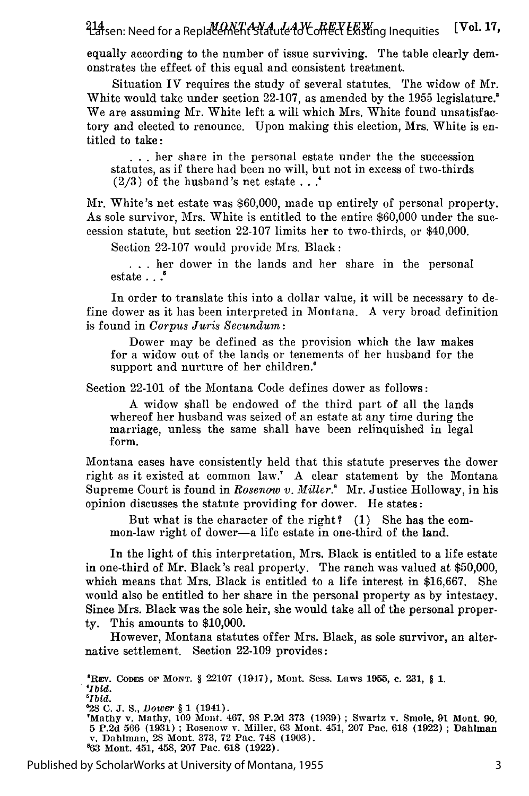*MONTANA LAW REVIEW* Larsen: Need for a Replacement Statute to Correct Existing Inequities [Vol. **17,**

equally according to the number of issue surviving. The table clearly demonstrates the effect of this equal and consistent treatment.

Situation IV requires the study of several statutes. The widow of Mr. White would take under section 22-107, as amended by the 1955 legislature.<sup>8</sup> We are assuming Mr. White left a will which Mrs. White found unsatisfactory and elected to renounce. Upon making this election, Mrs. White is entitled to take:

... her share in the personal estate under the the succession statutes, as if there had been no will, but not in excess of two-thirds (2/3) of the husband's net estate . . **.'**

*Mr.* White's net estate was \$60,000, made up entirely of personal property. As sole survivor, Mrs. White is entitled to the entire \$60,000 under the succession statute, but section 22-107 limits her to two-thirds, or \$40,000.

Section 22-107 would provide Mrs. Black:

... her dower in the lands and her share in the personal estate **.. .**

In order to translate this into a dollar value, it will be necessary to define dower as it has been interpreted in Montana. A very broad definition is found in *Corpus Juris Secundum:*

Dower may be defined as the provision which the law makes for a widow out of the lands or tenements of her husband for the support and nurture of her children.'

Section 22-101 of the Montana Code defines dower as follows:

A widow shall be endowed of the third part of all the lands whereof her husband was seized of an estate at any time during the marriage, unless the same shall have been relinquished in legal form.

Montana cases have consistently held that this statute preserves the dower right as it existed at common law.' A clear statement by the Montana Supreme Court is found in *Rosenw v. Miller.'* Mr. Justice Holloway, in his opinion discusses the statute providing for dower. He states:

But what is the character of the right? (1) She has the common-law right of dower-a life estate in one-third of the land.

In the light of this interpretation, Mrs. Black is entitled to a life estate in one-third of Mr. Black's real property. The ranch was valued at \$50,000, which means that Mrs. Black is entitled to a life interest in \$16,667. She would also be entitled to her share in the personal property as by intestacy. Since Mrs. Black was the sole heir, she would take all of the personal property. This amounts to \$10,000.

However, Montana statutes offer Mrs. Black, as sole survivor, an alternative settlement. Section 22-109 provides:

'REv. **CODES** OF **MONT.** § **22107** (1947), Mont. Sess. Laws **1955, c. 231,** § **1.** *'Ibid. 5Ibid.* **'28 C. J.** S., Dower § **1** (1941). 'Mathy v. Mathy, **109** Mont. 467, **98 P.2d 373 (1939) ;** Swartz **v.** Smole, **91** Mont. **90, 5 P.2d 566 (1931) ;** Rosenow v. Miller, **63** Mont. 451, **207** Pac. **618 (1922) ;** Dahlman v. Dahlman, 28 Mont. **373, 72** Pac. 748 **(1903). '63** Mont. 451, 458, **207** Pac. **618 (1922).**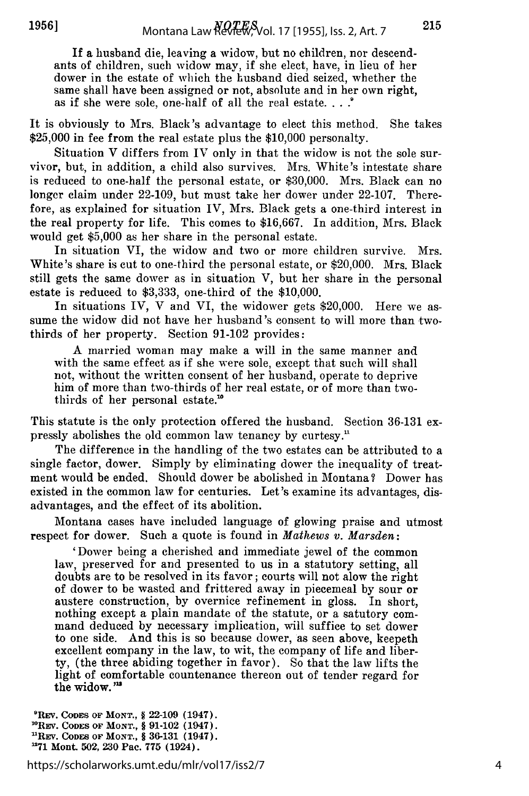If a husband die, leaving a widow, but no children, nor descendants of children, such widow may, if she elect, have, in lieu of her dower in the estate of which the husband died seized, whether the same shall have been assigned or not, absolute and in her own right, as if she were sole, one-half of all the real estate....

It is obviously to Mrs. Black's advantage to elect this method. She takes \$25,000 in fee from the real estate plus the \$10,000 personalty.

Situation V differs from IV only in that the widow is not the sole survivor, but, in addition, a child also survives. Mrs. White's intestate share is reduced to one-half the personal estate, or \$30,000. Mrs. Black can no longer claim under 22-109, but must take her dower under 22-107. Therefore, as explained for situation IV, Mrs. Black gets a one-third interest in the real property for life. This comes to \$16,667. In addition, Mrs. Black would get \$5,000 as her share in the personal estate.

In situation VI, the widow and two or more children survive. Mrs. White's share is cut to one-third the personal estate, or \$20,000. Mrs. Black still gets the same dower as in situation V, but her share in the personal estate is reduced to \$3,333, one-third of the \$10,000.

In situations IV, V and VI, the widower gets \$20,000. Here we assume the widow did not have her husband's consent to will more than twothirds of her property. Section 91-102 provides:

A married woman may make a will in the same manner and with the same effect as if she were sole, except that such will shall not, without the written consent of her husband, operate to deprive him of more than two-thirds of her real estate, or of more than twothirds of her personal estate."

This statute is the only protection offered the husband. Section 36-131 expressly abolishes the old common law tenancy by curtesy."

The difference in the handling of the two estates can be attributed to a single factor, dower. Simply by eliminating dower the inequality of treatment would be ended. Should dower be abolished in Montana? Dower has existed in the common law for centuries. Let's examine its advantages, disadvantages, and the effect of its abolition.

Montana cases have included language of glowing praise and utmost respect for dower. Such a quote is found in *Mathews v. Marsden:*

'Dower being a cherished and immediate jewel of the common law, preserved for and presented to us in a statutory setting, all doubts are to be resolved in its favor; courts will not alow the right of dower to be wasted and frittered away in piecemeal by sour or austere construction, by overnice refinement in gloss. In short, nothing except a plain mandate of the statute, or a satutory command deduced by necessary implication, will suffice to set dower to one side. And this is so because dower, as seen above, keepeth excellent company in the law, to wit, the company of life and liberty, (the three abiding together in favor). So that the law lifts the light of comfortable countenance thereon out of tender regard for the widow."

<sup>9</sup>REV. CODES OF MONT., § 22-109 (1947). 10REV. **CODEs** OF **MONT.,** § **91-102** (1947). **uREv. CODES OF MONT.,** § **36-131** (1947). **'271** Mont. 502, **230** Pac. **775** (1924).

https://scholarworks.umt.edu/mlr/vol17/iss2/7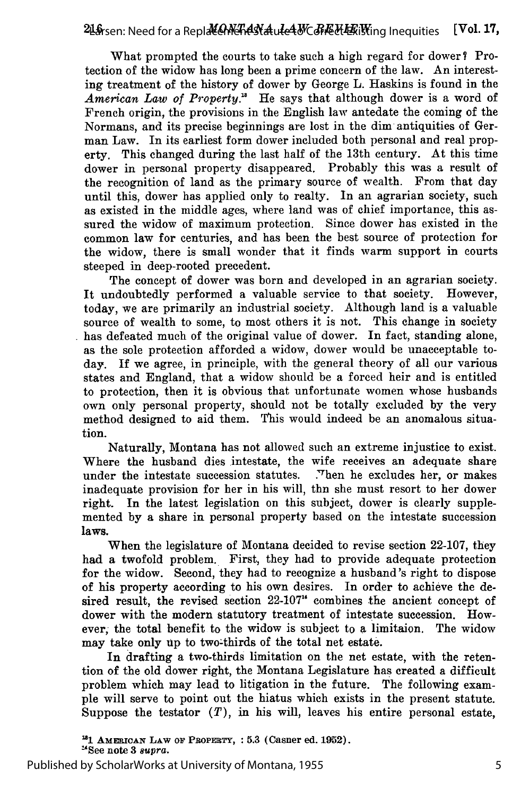What prompted the courts to take such a high regard for dower? Protection of the widow has long been a prime concern of the law. An interesting treatment of the history of dower by George L. Haskins is found in the American Law of Property.<sup>18</sup> He says that although dower is a word of French origin, the provisions in the English law antedate the coming of the Normans, and its precise beginnings are lost in the dim antiquities of German Law. In its earliest form dower included both personal and real property. This changed during the last half of the 13th century. At this time dower in personal property disappeared. Probably this was a result of the recognition of land as the primary source of wealth. From that day until this, dower has applied only to realty. In an agrarian society, such as existed in the middle ages, where land was of chief importance, this assured the widow of maximum protection. Since dower has existed in the common law for centuries, and has been the best source of protection for the widow, there is small wonder that it finds warm support in courts steeped in deep-rooted precedent.

The concept of dower was born and developed in an agrarian society. It undoubtedly performed a valuable service to that society. However, today, we are primarily an industrial society. Although land is a valuable source of wealth to some, to most others it is not. This change in society has defeated much of the original value of dower. In fact, standing alone, as the sole protection afforded a widow, dower would be unacceptable today. If we agree, in principle, with the general theory of all our various states and England, that a widow should be a forced heir and is entitled to protection, then it is obvious that unfortunate women whose husbands own only personal property, should not be totally excluded by the very method designed to aid them. This would indeed be an anomalous situation.

Naturally, Montana has not allowed such an extreme injustice to exist. Where the husband dies intestate, the wife receives an adequate share under the intestate succession statutes. Then he excludes her, or makes inadequate provision for her in his will, thn she must resort to her dower right. In the latest legislation on this subject, dower is clearly supplemented by a share in personal property based on the intestate succession laws.

When the legislature of Montana decided to revise section 22-107, they had a twofold problem. First, they had to provide adequate protection for the widow. Second, they had to recognize a husband's right to dispose of his property according to his own desires. In order to achieve the desired result, the revised section 22-107" combines the ancient concept of dower with the modern statutory treatment of intestate succession. However; the total benefit to the widow is subject to a limitaion. The widow may take only up to two-thirds of the total net estate.

In drafting a two-thirds limitation on the net estate, with the retention of the old dower right, the Montana Legislature has created a difficult problem which may lead to litigation in the future. The following example will serve to point out the hiatus which exists in the present statute. Suppose the testator  $(T)$ , in his will, leaves his entire personal estate,

**"1 AMERICAN LAW OF PROPErY, : 5.3** (Casner **ed. 1952).** "See note **3** *supra.*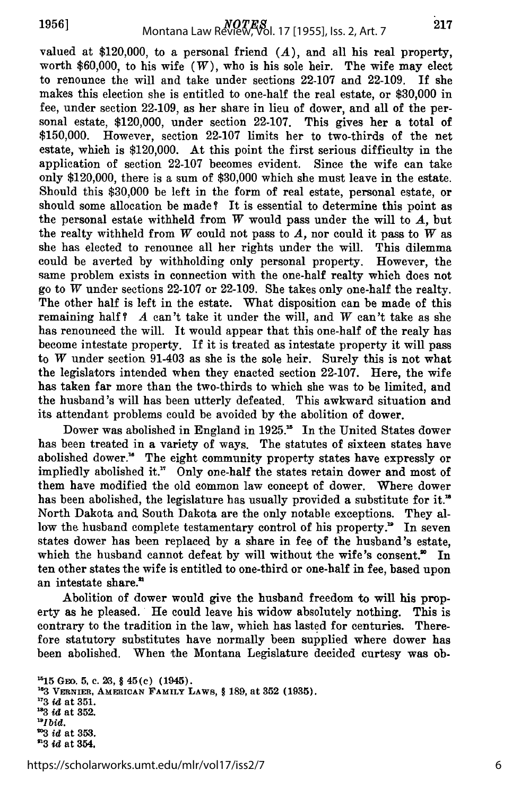valued at \$120,000, to a personal friend  $(A)$ , and all his real property, worth \$60,000, to his wife *(W),* who is his sole heir. The wife may elect to renounce the will and take under sections 22-107 and 22-109. If she makes this election she is entitled to one-half the real estate, or \$30,000 in fee, under section 22-109, as her share in lieu of dower, and all of the personal estate, \$120,000, under section 22-107. This gives her a total of \$150,000. However, section 22-107 limits her to two-thirds of the net estate, which is \$120,000. At this point the first serious difficulty in the application of section 22-107 becomes evident. Since the wife can take only \$120,000, there is a sum of \$30,000 which she must leave in the estate. Should this \$30,000 be left in the form of real estate, personal estate, or should some allocation be made? It is essential to determine this point as the personal estate withheld from *W* would pass under the will to *A,* but the realty withheld from  $W$  could not pass to  $A$ , nor could it pass to  $W$  as she has elected to renounce all her rights under the will. This dilemma could be averted by withholding only personal property. However, the same problem exists in connection with the one-half realty which does not go to *W* under sections 22-107 or 22-109. She takes only one-half the realty. The other half is left in the estate. What disposition can be made of this remaining half? *A* can't take it under the will, and *W* can't take as she has renounced the will. It would appear that this one-half of the realy has become intestate property. If it is treated as intestate property it will pass to W under section 91-403 as she is the sole heir. Surely this is not what the legislators intended when they enacted section **22-107.** Here, the wife has taken far more than the two-thirds to which she was to be limited, and the husband's will has been utterly defeated. This awkward situation and its attendant problems could be avoided by the abolition of dower.

Dower was abolished in England in 1925.<sup>15</sup> In the United States dower has been treated in a variety of ways. The statutes of sixteen states have abolished dower." The eight community property states have expressly or impliedly abolished it." Only one-half the states retain dower and most of them have modified the old common law concept of dower. Where dower has been abolished, the legislature has usually provided a substitute for it." North Dakota and South Dakota are the only notable exceptions. They allow the husband complete testamentary control of his property. $\mathbf{P}$  In seven states dower has been replaced by a share in fee of the husband's estate, which the husband cannot defeat by will without the wife's consent. $\mathbf{v}$  In ten other states the wife is entitled to one-third or one-half in fee, based upon an intestate share.\*

Abolition of dower would give the husband freedom to will his property as he pleased. He could leave his widow absolutely nothing. This is contrary to the tradition in the law, which has lasted for centuries. Therefore statutory substitutes have normally been supplied where dower has been abolished. When the Montana Legislature decided curtesy was ob-

**'15 Gm. 5, c. 23,** § 45(c) **(1945). 1a3 VERNIER, AMERICAN** FAMILY **LAWS,** § **189, at 352 (1935). <sup>173</sup>***i* **at 351. '83** *id* **at 352.** *"Ibid.* **<sup>203</sup>***id* **at 353. <sup>603</sup>***id* **at 354,**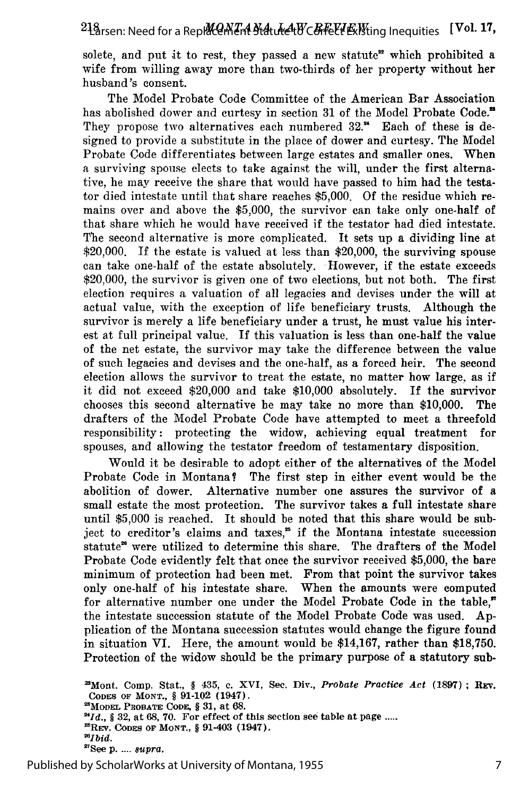solete, and put it to rest, they passed a new statute<sup>22</sup> which prohibited a wife from willing away more than two-thirds of her property without her husband's consent.

The Model Probate Code Committee of the American Bar Association has abolished dower and curtesy in section 31 of the Model Probate Code.<sup>28</sup> They propose two alternatives each numbered 32." Each of these is designed to provide a substitute in the place of dower and curtesy. The Model Probate Code differentiates between large estates and smaller ones. When a surviving spouse elects to take against the will, under the first alternative, he may receive the share that would have passed to him had the testator died intestate until that share reaches \$5,000. Of the residue which remains over and above the \$5,000, the survivor can take only one-half of that share which he would have received if the testator had died intestate. The second alternative is more complicated. It sets up a dividing line at \$20,000. If the estate is valued at less than \$20,000, the surviving spouse can take one-half of the estate absolutely. However, if the estate exceeds \$20,000, the survivor is given one of two elections, but not both. The first election requires a valuation of all legacies and devises under the will at actual value, with the exception of life beneficiary trusts. Although the survivor is merely a life beneficiary under a trust, he must value his interest at full principal value. If this valuation is less than one-half the value of the net estate, the survivor may take the difference between the value of such legacies and devises and the one-half, as a forced heir. The second election allows the survivor to treat the estate, no matter how large, as if it did not exceed \$20,000 and take \$10,000 absolutely. If the survivor chooses this second alternative he may take no more than \$10,000. The drafters of the Model Probate Code have attempted to meet a threefold responsibility: protecting the widow, achieving equal treatment for spouses, and allowing the testator freedom of testamentary disposition.

Would it be desirable to adopt either of the alternatives of the Model Probate Code in Montana? The first step in either event would be the abolition of dower. Alternative number one assures the survivor of a small estate the most protection. The survivor takes a full intestate share until \$5,000 is reached. It should be noted that this share would be subject to creditor's claims and taxes," if the Montana intestate succession statute<sup>28</sup> were utilized to determine this share. The drafters of the Model Probate Code evidently felt that once the survivor received \$5,000, the bare minimum of protection had been met. From that point the survivor takes only one-half of his intestate share. When the amounts were computed for alternative number one under the Model Probate Code in the table," the intestate succession statute of the Model Probate Code was used. Application of the Montana succession statutes would change the figure found in situation VI. Here, the amount would be \$14,167, rather than \$18,750. Protection of the widow should be the primary purpose of a statutory sub-

'Mont. Comp. Stat., **§** 435, **c.** XVI, Sec. Div., *Probate Practice Act* **(1897);** REv. **CODES OF MONT., § 91-102** (1947). **" 'MODEL PROBATE CODE, § 31,** at **68.** *"Id.,* **§ 32,** at 68, **70.** For effect of this section **see** table at page **.....** 'REv. **CODES OF MONT., §** 91-403 (1947). *"Ibid.* 'See **p. ....** *supra.*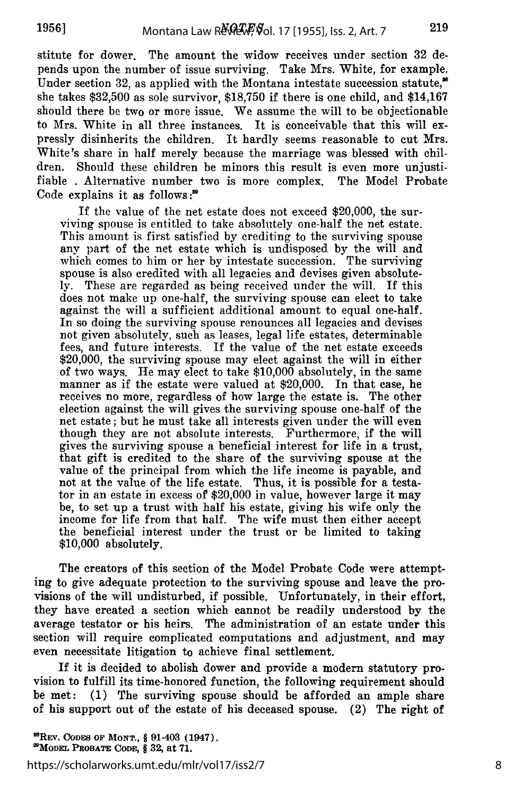stitute for dower. The amount the widow receives under section 32 depends upon the number of issue surviving. Take Mrs. White, for example. Under section 32, as applied with the Montana intestate succession statute,<sup>86</sup> she takes \$32,500 as sole survivor, \$18,750 if there is one child, and \$14,167 should there be two or more issue. We assume the will to be objectionable to Mrs. White in all three instances. It is conceivable that this will expressly disinherits the children. It hardly seems reasonable to cut Mrs. White's share in half merely because the marriage was blessed with children. Should these children be minors this result is even more unjustifiable . Alternative number two is more complex. The Model Probate Code explains it as follows:<sup>29</sup>

If the value of the net estate does not exceed \$20,000, the surviving spouse is entitled to take absolutely one-half the net estate. This amount is first satisfied by crediting to the surviving spouse any part of the net estate which is undisposed by the will and which comes to him or her by intestate succession. The surviving spouse is also credited with all legacies and devises given absolutely. These are regarded as being received under the will. If this does not make up one-half, the surviving spouse can elect to take against the will a sufficient additional amount to equal one-half. In so doing the surviving spouse renounces all legacies and devises not given absolutely, such as leases, legal life estates, determinable fees, and future interests. If the value of the net estate exceeds \$20,000, the surviving spouse may elect against the will in either of two ways. He may elect to take \$10,000 absolutely, in the same manner as if the estate were valued at \$20,000. In that case, he receives no more, regardless of how large the estate is. The other election against the will gives the surviving spouse one-half of the net estate; but he must take all interests given under the will even though they are not absolute interests. Furthermore, if the will gives the surviving spouse a beneficial interest for life in a trust, that gift is credited to the share of the surviving spouse at the value of the principal from which the life income is payable, and not at the value of the life estate. Thus, it is possible for a testator in an estate in excess of \$20,000 in value, however large it may be, to set up a trust with half his estate, giving his wife only the income for life from that half. The wife must then either accept the beneficial interest under the trust or be limited to taking \$10,000 absolutely.

The creators of this section of the Model Probate Code were attempting to give adequate protection to the surviving spouse and leave the provisions of the will undisturbed, if possible. Unfortunately, in their effort, they have created a section which cannot be readily understood by the average testator or his heirs. The administration of an estate under this section will require complicated computations and adjustment, and may even necessitate litigation to achieve final settlement.

**If** it is decided to abolish dower and provide a modern statutory provision to fulfill its time-honored function, the following requirement should be met: (1) The surviving spouse should be afforded an ample share of his support out of the estate of his deceased spouse. (2) The right of

https://scholarworks.umt.edu/mlr/vol17/iss2/7